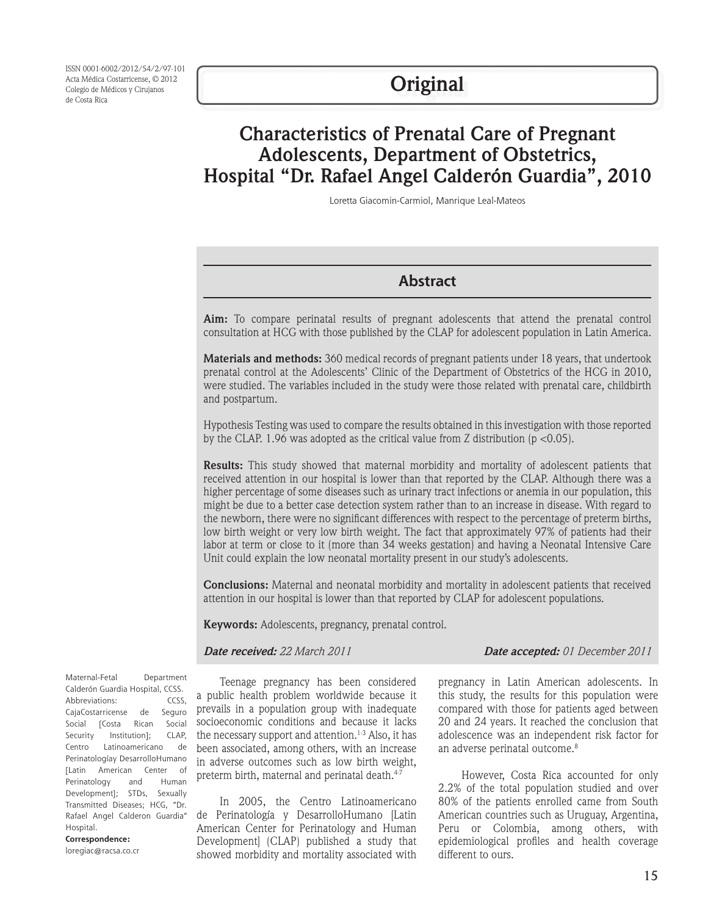ISSN 0001-6002/2012/54/2/97-101 Acta Médica Costarricense, © 2012 Colegio de Médicos y Cirujanos de Costa Rica

# **Characteristics of Prenatal Care of Pregnant Adolescents, Department of Obstetrics, Hospital "Dr. Rafael Angel Calderón Guardia", 2010**

Loretta Giacomin-Carmiol, Manrique Leal-Mateos

### **Abstract**

**Aim:** To compare perinatal results of pregnant adolescents that attend the prenatal control consultation at HCG with those published by the CLAP for adolescent population in Latin America.

**Materials and methods:** 360 medical records of pregnant patients under 18 years, that undertook prenatal control at the Adolescents' Clinic of the Department of Obstetrics of the HCG in 2010, were studied. The variables included in the study were those related with prenatal care, childbirth and postpartum.

Hypothesis Testing was used to compare the results obtained in this investigation with those reported by the CLAP. 1.96 was adopted as the critical value from Z distribution ( $p < 0.05$ ).

**Results:** This study showed that maternal morbidity and mortality of adolescent patients that received attention in our hospital is lower than that reported by the CLAP. Although there was a higher percentage of some diseases such as urinary tract infections or anemia in our population, this might be due to a better case detection system rather than to an increase in disease. With regard to the newborn, there were no significant differences with respect to the percentage of preterm births, low birth weight or very low birth weight. The fact that approximately 97% of patients had their labor at term or close to it (more than 34 weeks gestation) and having a Neonatal Intensive Care Unit could explain the low neonatal mortality present in our study's adolescents.

**Conclusions:** Maternal and neonatal morbidity and mortality in adolescent patients that received attention in our hospital is lower than that reported by CLAP for adolescent populations.

**Keywords:** Adolescents, pregnancy, prenatal control.

*Date received: 22 March 2011 Date accepted: 01 December 2011*

Maternal-Fetal Department Calderón Guardia Hospital, CCSS. Abbreviations: CCSS, CajaCostarricense de Seguro Social [Costa Rican Social Security Institution]; CLAP, Centro Latinoamericano de Perinatologíay DesarrolloHumano [Latin American Center of Perinatology and Human Development]; STDs, Sexually Transmitted Diseases; HCG, "Dr. Rafael Angel Calderon Guardia" Hospital. **Correspondence:**

loregiac@racsa.co.cr

Teenage pregnancy has been considered a public health problem worldwide because it prevails in a population group with inadequate socioeconomic conditions and because it lacks the necessary support and attention.<sup>1-3</sup> Also, it has been associated, among others, with an increase in adverse outcomes such as low birth weight, preterm birth, maternal and perinatal death.<sup>4-7</sup>

In 2005, the Centro Latinoamericano de Perinatología y DesarrolloHumano [Latin American Center for Perinatology and Human Development] (CLAP) published a study that showed morbidity and mortality associated with

pregnancy in Latin American adolescents. In this study, the results for this population were compared with those for patients aged between 20 and 24 years. It reached the conclusion that adolescence was an independent risk factor for an adverse perinatal outcome.<sup>8</sup>

However, Costa Rica accounted for only 2.2% of the total population studied and over 80% of the patients enrolled came from South American countries such as Uruguay, Argentina, Peru or Colombia, among others, with epidemiological profiles and health coverage different to ours.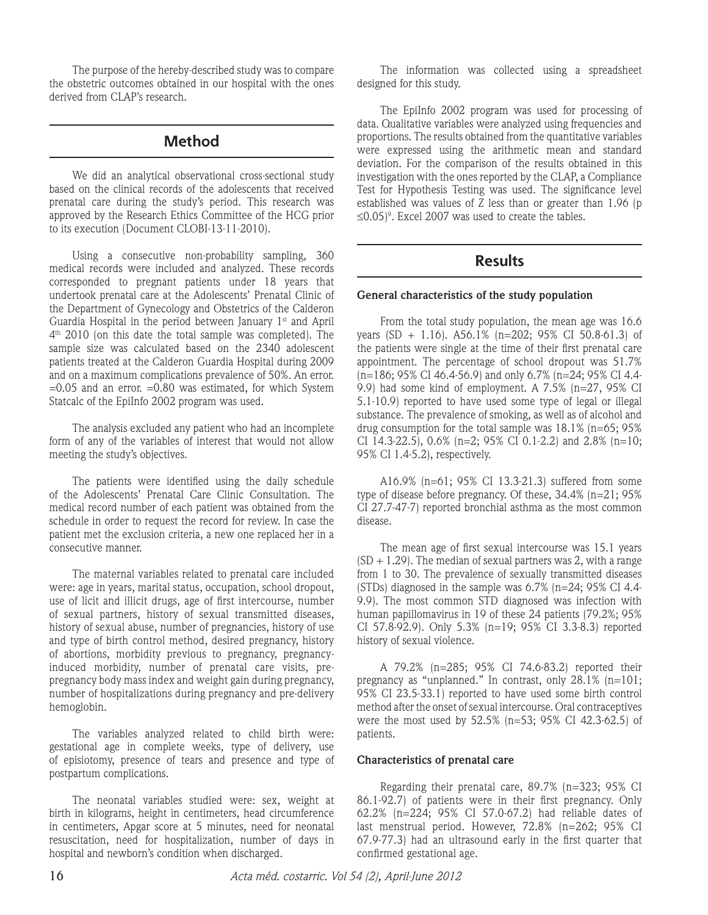The purpose of the hereby-described study was to compare the obstetric outcomes obtained in our hospital with the ones derived from CLAP's research.

## **Method**

We did an analytical observational cross-sectional study based on the clinical records of the adolescents that received prenatal care during the study's period. This research was approved by the Research Ethics Committee of the HCG prior to its execution (Document CLOBI-13-11-2010).

Using a consecutive non-probability sampling, 360 medical records were included and analyzed. These records corresponded to pregnant patients under 18 years that undertook prenatal care at the Adolescents' Prenatal Clinic of the Department of Gynecology and Obstetrics of the Calderon Guardia Hospital in the period between January 1<sup>st</sup> and April 4th 2010 (on this date the total sample was completed). The sample size was calculated based on the 2340 adolescent patients treated at the Calderon Guardia Hospital during 2009 and on a maximum complications prevalence of 50%. An error.  $=0.05$  and an error.  $=0.80$  was estimated, for which System Statcalc of the EpiInfo 2002 program was used.

The analysis excluded any patient who had an incomplete form of any of the variables of interest that would not allow meeting the study's objectives.

The patients were identified using the daily schedule of the Adolescents' Prenatal Care Clinic Consultation. The medical record number of each patient was obtained from the schedule in order to request the record for review. In case the patient met the exclusion criteria, a new one replaced her in a consecutive manner.

The maternal variables related to prenatal care included were: age in years, marital status, occupation, school dropout, use of licit and illicit drugs, age of first intercourse, number of sexual partners, history of sexual transmitted diseases, history of sexual abuse, number of pregnancies, history of use and type of birth control method, desired pregnancy, history of abortions, morbidity previous to pregnancy, pregnancyinduced morbidity, number of prenatal care visits, prepregnancy body mass index and weight gain during pregnancy, number of hospitalizations during pregnancy and pre-delivery hemoglobin.

The variables analyzed related to child birth were: gestational age in complete weeks, type of delivery, use of episiotomy, presence of tears and presence and type of postpartum complications.

The neonatal variables studied were: sex, weight at birth in kilograms, height in centimeters, head circumference in centimeters, Apgar score at 5 minutes, need for neonatal resuscitation, need for hospitalization, number of days in hospital and newborn's condition when discharged.

The information was collected using a spreadsheet designed for this study.

The EpiInfo 2002 program was used for processing of data. Qualitative variables were analyzed using frequencies and proportions. The results obtained from the quantitative variables were expressed using the arithmetic mean and standard deviation. For the comparison of the results obtained in this investigation with the ones reported by the CLAP, a Compliance Test for Hypothesis Testing was used. The significance level established was values of  $\overline{Z}$  less than or greater than 1.96 (p  $\leq$ 0.05)°. Excel 2007 was used to create the tables.

# **Results**

#### **General characteristics of the study population**

From the total study population, the mean age was 16.6 years (SD + 1.16).  $A56.1\%$  (n=202; 95% CI 50.8-61.3) of the patients were single at the time of their first prenatal care appointment. The percentage of school dropout was 51.7% (n=186; 95% CI 46.4-56.9) and only 6.7% (n=24; 95% CI 4.4- 9.9) had some kind of employment. A 7.5% (n=27, 95% CI 5.1-10.9) reported to have used some type of legal or illegal substance. The prevalence of smoking, as well as of alcohol and drug consumption for the total sample was 18.1% (n=65; 95% CI 14.3-22.5),  $0.6\%$  (n=2; 95% CI 0.1-2.2) and 2.8% (n=10; 95% CI 1.4-5.2), respectively.

A16.9% (n=61; 95% CI 13.3-21.3) suffered from some type of disease before pregnancy. Of these, 34.4% (n=21; 95% CI 27.7-47-7) reported bronchial asthma as the most common disease.

The mean age of first sexual intercourse was 15.1 years  $(SD + 1.29)$ . The median of sexual partners was 2, with a range from 1 to 30. The prevalence of sexually transmitted diseases (STDs) diagnosed in the sample was 6.7% (n=24; 95% CI 4.4- 9.9). The most common STD diagnosed was infection with human papillomavirus in 19 of these 24 patients (79.2%; 95% CI 57.8-92.9). Only 5.3% (n=19; 95% CI 3.3-8.3) reported history of sexual violence.

A 79.2% (n=285; 95% CI 74.6-83.2) reported their pregnancy as "unplanned." In contrast, only 28.1% (n=101; 95% CI 23.5-33.1) reported to have used some birth control method after the onset of sexual intercourse. Oral contraceptives were the most used by 52.5% (n=53; 95% CI 42.3-62.5) of patients.

### **Characteristics of prenatal care**

Regarding their prenatal care, 89.7% (n=323; 95% CI 86.1-92.7) of patients were in their first pregnancy. Only 62.2% (n=224; 95% CI 57.0-67.2) had reliable dates of last menstrual period. However, 72.8% (n=262; 95% CI 67.9-77.3) had an ultrasound early in the first quarter that confirmed gestational age.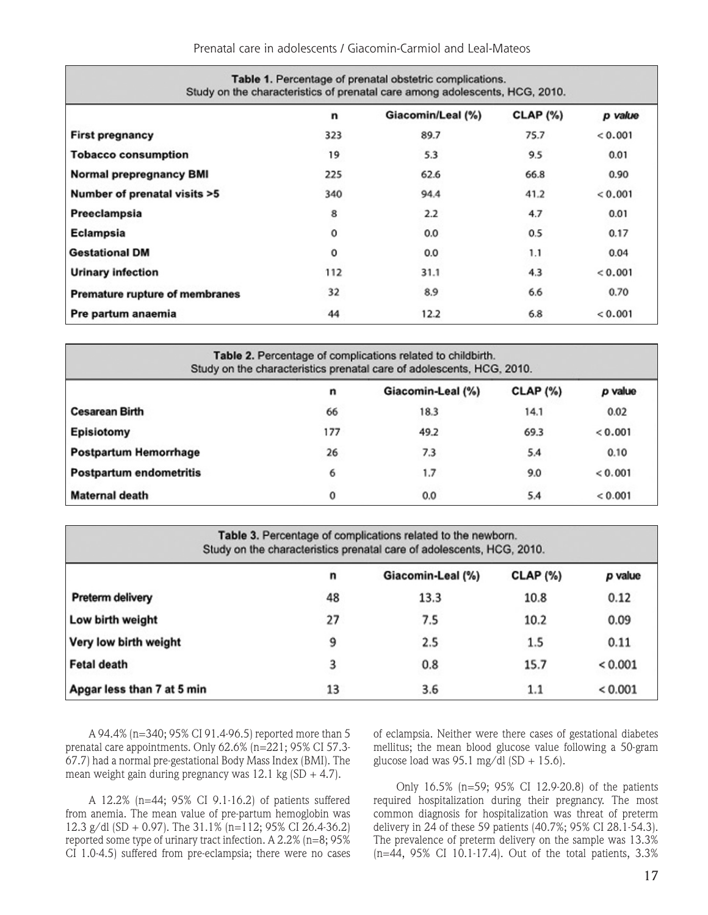Prenatal care in adolescents / Giacomin-Carmiol and Leal-Mateos

| Table 1. Percentage of prenatal obstetric complications.<br>Study on the characteristics of prenatal care among adolescents, HCG, 2010. |     |                   |               |         |  |  |
|-----------------------------------------------------------------------------------------------------------------------------------------|-----|-------------------|---------------|---------|--|--|
|                                                                                                                                         | n   | Giacomin/Leal (%) | $CLAP$ $(\%)$ | p value |  |  |
| <b>First pregnancy</b>                                                                                                                  | 323 | 89.7              | 75.7          | 0.001   |  |  |
| <b>Tobacco consumption</b>                                                                                                              | 19  | 5.3               | 9.5           | 0.01    |  |  |
| Normal prepregnancy BMI                                                                                                                 | 225 | 62.6              | 66.8          | 0.90    |  |  |
| Number of prenatal visits >5                                                                                                            | 340 | 94.4              | 41.2          | < 0.001 |  |  |
| Preeclampsia                                                                                                                            | 8   | 2.2               | 4.7           | 0.01    |  |  |
| Eclampsia                                                                                                                               | 0   | 0.0               | 0.5           | 0.17    |  |  |
| <b>Gestational DM</b>                                                                                                                   | 0   | 0.0               | 1.1           | 0.04    |  |  |
| <b>Urinary infection</b>                                                                                                                | 112 | 31.1              | 4.3           | 0.001   |  |  |
| Premature rupture of membranes                                                                                                          | 32  | 8.9               | 6.6           | 0.70    |  |  |
| Pre partum anaemia                                                                                                                      | 44  | 12.2              | 6.8           | 0.001   |  |  |

| Table 2. Percentage of complications related to childbirth.<br>Study on the characteristics prenatal care of adolescents, HCG, 2010. |     |                   |                 |         |  |  |
|--------------------------------------------------------------------------------------------------------------------------------------|-----|-------------------|-----------------|---------|--|--|
|                                                                                                                                      | n   | Giacomin-Leal (%) | <b>CLAP (%)</b> | p value |  |  |
| <b>Cesarean Birth</b>                                                                                                                | 66  | 18.3              | 14.1            | 0.02    |  |  |
| Episiotomy                                                                                                                           | 177 | 49.2              | 69.3            | < 0.001 |  |  |
| <b>Postpartum Hemorrhage</b>                                                                                                         | 26  | 7.3               | 5.4             | 0.10    |  |  |
| Postpartum endometritis                                                                                                              | 6   | 1.7               | 9.0             | < 0.001 |  |  |
| Maternal death                                                                                                                       | 0   | 0.0               | 5.4             | < 0.001 |  |  |

| Table 3. Percentage of complications related to the newborn.<br>Study on the characteristics prenatal care of adolescents, HCG, 2010. |    |                   |               |             |  |  |
|---------------------------------------------------------------------------------------------------------------------------------------|----|-------------------|---------------|-------------|--|--|
|                                                                                                                                       | n  | Giacomin-Leal (%) | $CLAP$ $(\%)$ | p value     |  |  |
| Preterm delivery                                                                                                                      | 48 | 13.3              | 10.8          | 0.12        |  |  |
| Low birth weight                                                                                                                      | 27 | 7.5               | 10.2          | 0.09        |  |  |
| Very low birth weight                                                                                                                 | 9  | 2.5               | 1.5           | 0.11        |  |  |
| <b>Fetal death</b>                                                                                                                    | 3  | 0.8               | 15.7          | ${}< 0.001$ |  |  |
| Apgar less than 7 at 5 min                                                                                                            | 13 | 3.6               | 1.1           | ${}< 0.001$ |  |  |

A 94.4% (n=340; 95% CI 91.4-96.5) reported more than 5 prenatal care appointments. Only 62.6% (n=221; 95% CI 57.3- 67.7) had a normal pre-gestational Body Mass Index (BMI). The mean weight gain during pregnancy was  $12.1$  kg (SD  $+$  4.7).

A 12.2% (n=44; 95% CI 9.1-16.2) of patients suffered from anemia. The mean value of pre-partum hemoglobin was 12.3 g/dl (SD + 0.97). The 31.1% (n=112; 95% CI 26.4-36.2) reported some type of urinary tract infection. A 2.2% (n=8; 95% CI 1.0-4.5) suffered from pre-eclampsia; there were no cases of eclampsia. Neither were there cases of gestational diabetes mellitus; the mean blood glucose value following a 50-gram glucose load was 95.1 mg/dl (SD + 15.6).

Only 16.5% (n=59; 95% CI 12.9-20.8) of the patients required hospitalization during their pregnancy. The most common diagnosis for hospitalization was threat of preterm delivery in 24 of these 59 patients (40.7%; 95% CI 28.1-54.3). The prevalence of preterm delivery on the sample was 13.3% (n=44, 95% CI 10.1-17.4). Out of the total patients, 3.3%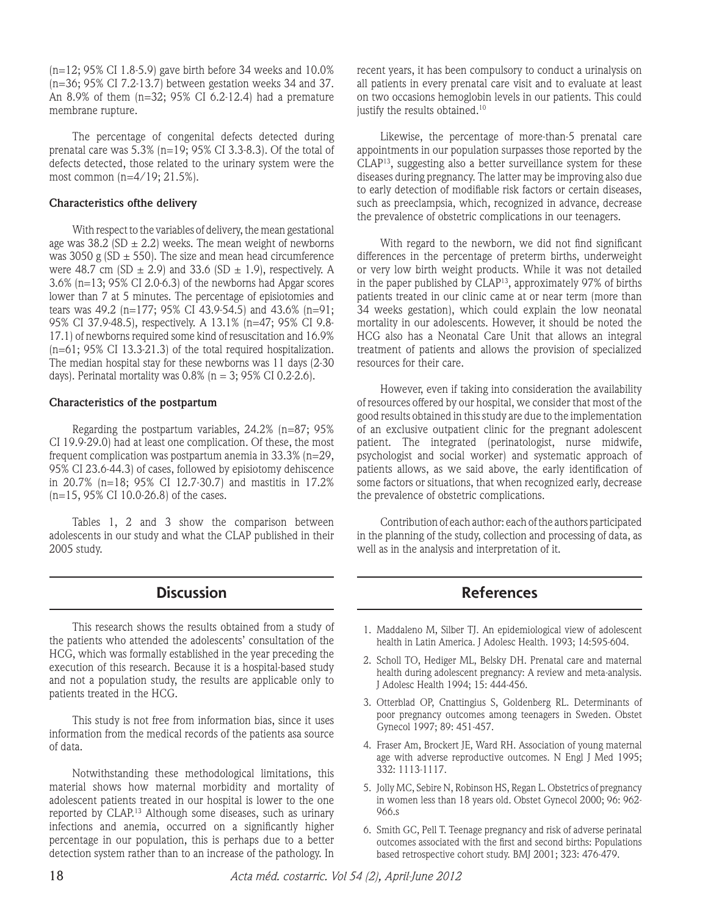(n=12; 95% CI 1.8-5.9) gave birth before 34 weeks and 10.0% (n=36; 95% CI 7.2-13.7) between gestation weeks 34 and 37. An 8.9% of them (n=32; 95% CI 6.2-12.4) had a premature membrane rupture.

The percentage of congenital defects detected during prenatal care was 5.3% (n=19; 95% CI 3.3-8.3). Of the total of defects detected, those related to the urinary system were the most common (n=4/19; 21.5%).

#### **Characteristics ofthe delivery**

With respect to the variables of delivery, the mean gestational age was  $38.2$  (SD  $\pm$  2.2) weeks. The mean weight of newborns was 3050 g (SD  $\pm$  550). The size and mean head circumference were 48.7 cm (SD  $\pm$  2.9) and 33.6 (SD  $\pm$  1.9), respectively. A 3.6% (n=13; 95% CI 2.0-6.3) of the newborns had Apgar scores lower than 7 at 5 minutes. The percentage of episiotomies and tears was 49.2 (n=177; 95% CI 43.9-54.5) and 43.6% (n=91; 95% CI 37.9-48.5), respectively. A 13.1% (n=47; 95% CI 9.8- 17.1) of newborns required some kind of resuscitation and 16.9% (n=61; 95% CI 13.3-21.3) of the total required hospitalization. The median hospital stay for these newborns was 11 days (2-30 days). Perinatal mortality was  $0.8\%$  (n = 3; 95% CI 0.2-2.6).

#### **Characteristics of the postpartum**

Regarding the postpartum variables, 24.2% (n=87; 95% CI 19.9-29.0) had at least one complication. Of these, the most frequent complication was postpartum anemia in 33.3% (n=29, 95% CI 23.6-44.3) of cases, followed by episiotomy dehiscence in 20.7% (n=18; 95% CI 12.7-30.7) and mastitis in 17.2% (n=15, 95% CI 10.0-26.8) of the cases.

Tables 1, 2 and 3 show the comparison between adolescents in our study and what the CLAP published in their 2005 study.

### **Discussion**

This research shows the results obtained from a study of the patients who attended the adolescents' consultation of the HCG, which was formally established in the year preceding the execution of this research. Because it is a hospital-based study and not a population study, the results are applicable only to patients treated in the HCG.

This study is not free from information bias, since it uses information from the medical records of the patients asa source of data.

Notwithstanding these methodological limitations, this material shows how maternal morbidity and mortality of adolescent patients treated in our hospital is lower to the one reported by CLAP.13 Although some diseases, such as urinary infections and anemia, occurred on a significantly higher percentage in our population, this is perhaps due to a better detection system rather than to an increase of the pathology. In recent years, it has been compulsory to conduct a urinalysis on all patients in every prenatal care visit and to evaluate at least on two occasions hemoglobin levels in our patients. This could justify the results obtained.<sup>10</sup>

Likewise, the percentage of more-than-5 prenatal care appointments in our population surpasses those reported by the CLAP13, suggesting also a better surveillance system for these diseases during pregnancy. The latter may be improving also due to early detection of modifiable risk factors or certain diseases, such as preeclampsia, which, recognized in advance, decrease the prevalence of obstetric complications in our teenagers.

With regard to the newborn, we did not find significant differences in the percentage of preterm births, underweight or very low birth weight products. While it was not detailed in the paper published by CLAP13, approximately 97% of births patients treated in our clinic came at or near term (more than 34 weeks gestation), which could explain the low neonatal mortality in our adolescents. However, it should be noted the HCG also has a Neonatal Care Unit that allows an integral treatment of patients and allows the provision of specialized resources for their care.

However, even if taking into consideration the availability of resources offered by our hospital, we consider that most of the good results obtained in this study are due to the implementation of an exclusive outpatient clinic for the pregnant adolescent patient. The integrated (perinatologist, nurse midwife, psychologist and social worker) and systematic approach of patients allows, as we said above, the early identification of some factors or situations, that when recognized early, decrease the prevalence of obstetric complications.

Contribution of each author: each of the authors participated in the planning of the study, collection and processing of data, as well as in the analysis and interpretation of it.

### **References**

- 1. Maddaleno M, Silber TJ. An epidemiological view of adolescent health in Latin America. J Adolesc Health. 1993; 14:595-604.
- 2. Scholl TO, Hediger ML, Belsky DH. Prenatal care and maternal health during adolescent pregnancy: A review and meta-analysis. J Adolesc Health 1994; 15: 444-456.
- 3. Otterblad OP, Cnattingius S, Goldenberg RL. Determinants of poor pregnancy outcomes among teenagers in Sweden. Obstet Gynecol 1997; 89: 451-457.
- 4. Fraser Am, Brockert JE, Ward RH. Association of young maternal age with adverse reproductive outcomes. N Engl J Med 1995; 332: 1113-1117.
- 5. Jolly MC, Sebire N, Robinson HS, Regan L. Obstetrics of pregnancy in women less than 18 years old. Obstet Gynecol 2000; 96: 962- 966.s
- 6. Smith GC, Pell T. Teenage pregnancy and risk of adverse perinatal outcomes associated with the first and second births: Populations based retrospective cohort study. BMJ 2001; 323: 476-479.